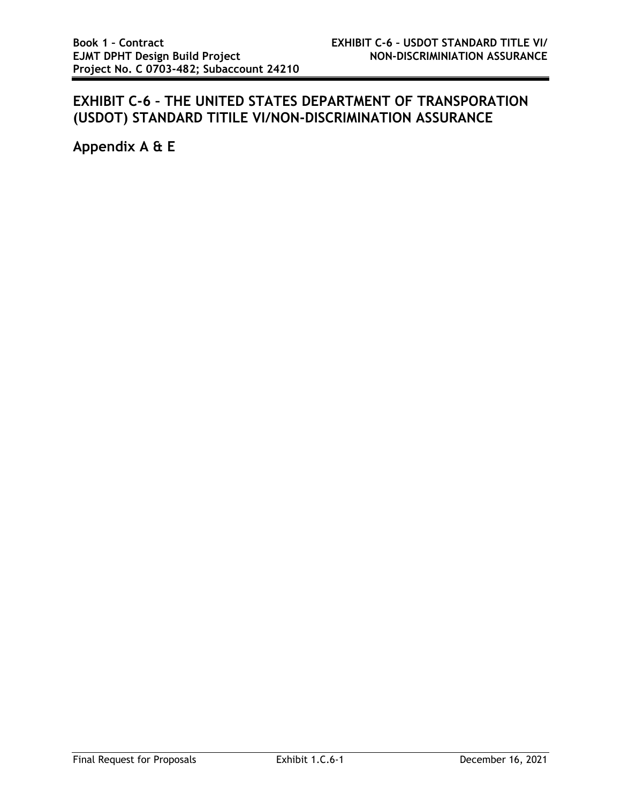## **EXHIBIT C-6 – THE UNITED STATES DEPARTMENT OF TRANSPORATION (USDOT) STANDARD TITILE VI/NON-DISCRIMINATION ASSURANCE**

**Appendix A & E**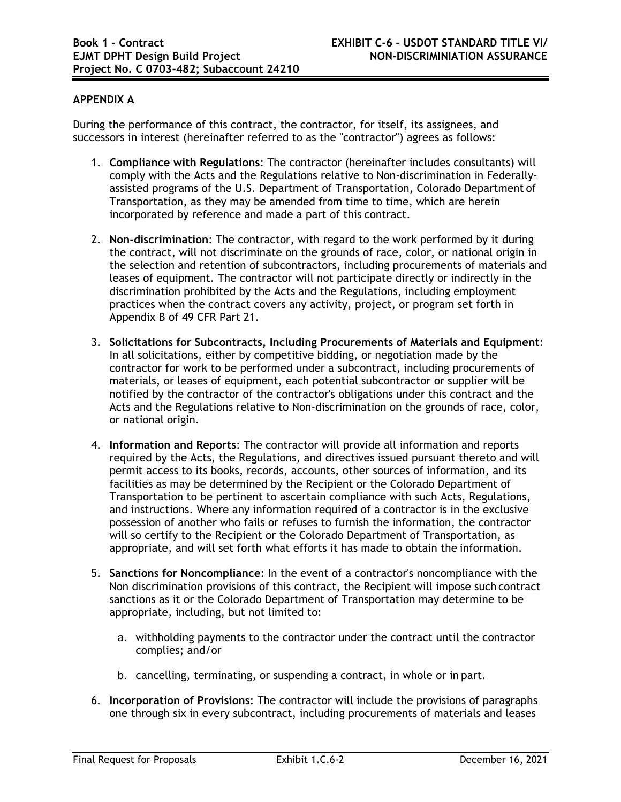## **APPENDIX A**

During the performance of this contract, the contractor, for itself, its assignees, and successors in interest (hereinafter referred to as the "contractor") agrees as follows:

- 1. **Compliance with Regulations**: The contractor (hereinafter includes consultants) will comply with the Acts and the Regulations relative to Non-discrimination in Federallyassisted programs of the U.S. Department of Transportation, Colorado Department of Transportation, as they may be amended from time to time, which are herein incorporated by reference and made a part of this contract.
- 2. **Non-discrimination**: The contractor, with regard to the work performed by it during the contract, will not discriminate on the grounds of race, color, or national origin in the selection and retention of subcontractors, including procurements of materials and leases of equipment. The contractor will not participate directly or indirectly in the discrimination prohibited by the Acts and the Regulations, including employment practices when the contract covers any activity, project, or program set forth in Appendix B of 49 CFR Part 21.
- 3. **Solicitations for Subcontracts, Including Procurements of Materials and Equipment**: In all solicitations, either by competitive bidding, or negotiation made by the contractor for work to be performed under a subcontract, including procurements of materials, or leases of equipment, each potential subcontractor or supplier will be notified by the contractor of the contractor's obligations under this contract and the Acts and the Regulations relative to Non-discrimination on the grounds of race, color, or national origin.
- 4. **Information and Reports**: The contractor will provide all information and reports required by the Acts, the Regulations, and directives issued pursuant thereto and will permit access to its books, records, accounts, other sources of information, and its facilities as may be determined by the Recipient or the Colorado Department of Transportation to be pertinent to ascertain compliance with such Acts, Regulations, and instructions. Where any information required of a contractor is in the exclusive possession of another who fails or refuses to furnish the information, the contractor will so certify to the Recipient or the Colorado Department of Transportation, as appropriate, and will set forth what efforts it has made to obtain the information.
- 5. **Sanctions for Noncompliance**: In the event of a contractor's noncompliance with the Non discrimination provisions of this contract, the Recipient will impose such contract sanctions as it or the Colorado Department of Transportation may determine to be appropriate, including, but not limited to:
	- a. withholding payments to the contractor under the contract until the contractor complies; and/or
	- b. cancelling, terminating, or suspending a contract, in whole or in part.
- 6. **Incorporation of Provisions**: The contractor will include the provisions of paragraphs one through six in every subcontract, including procurements of materials and leases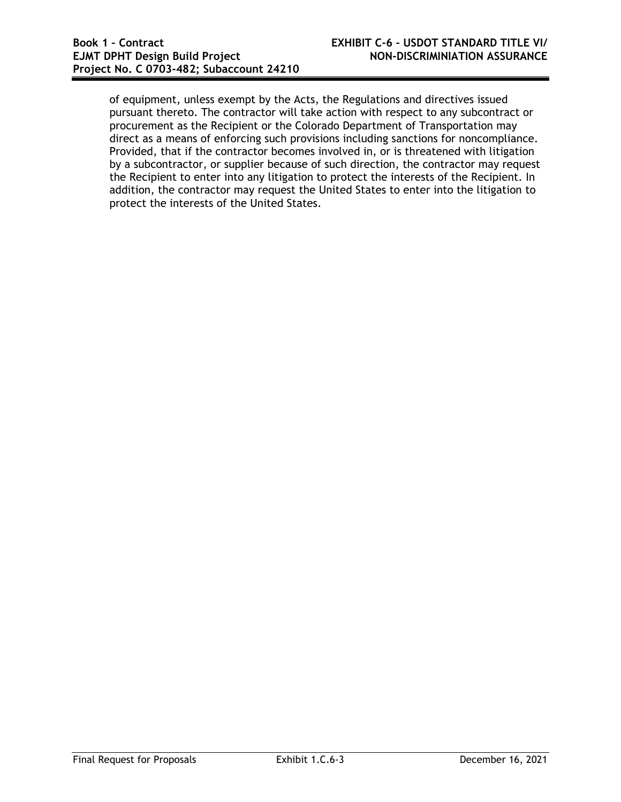of equipment, unless exempt by the Acts, the Regulations and directives issued pursuant thereto. The contractor will take action with respect to any subcontract or procurement as the Recipient or the Colorado Department of Transportation may direct as a means of enforcing such provisions including sanctions for noncompliance. Provided, that if the contractor becomes involved in, or is threatened with litigation by a subcontractor, or supplier because of such direction, the contractor may request the Recipient to enter into any litigation to protect the interests of the Recipient. In addition, the contractor may request the United States to enter into the litigation to protect the interests of the United States.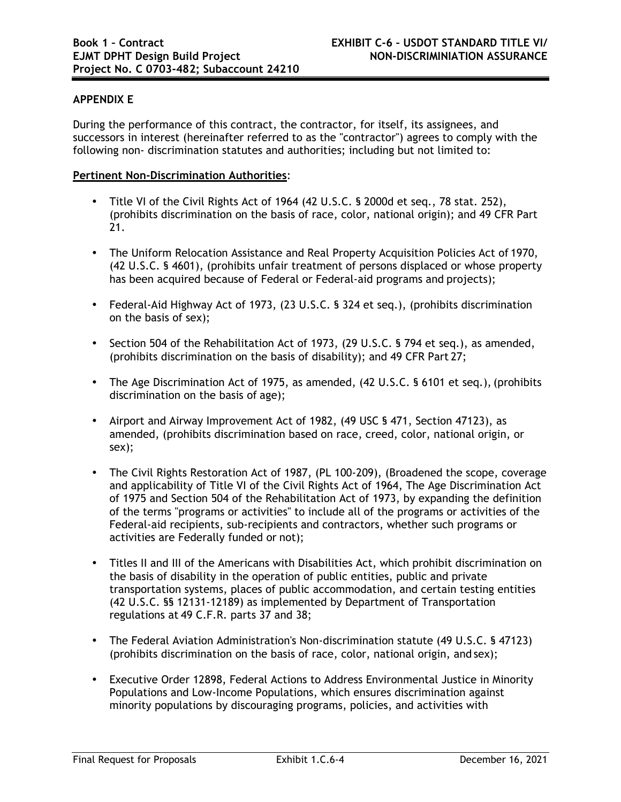## **APPENDIX E**

During the performance of this contract, the contractor, for itself, its assignees, and successors in interest (hereinafter referred to as the "contractor") agrees to comply with the following non- discrimination statutes and authorities; including but not limited to:

## **Pertinent Non-Discrimination Authorities**:

- Title VI of the Civil Rights Act of 1964 (42 U.S.C. § 2000d et seq., 78 stat. 252), (prohibits discrimination on the basis of race, color, national origin); and 49 CFR Part 21.
- The Uniform Relocation Assistance and Real Property Acquisition Policies Act of 1970, (42 U.S.C. § 4601), (prohibits unfair treatment of persons displaced or whose property has been acquired because of Federal or Federal-aid programs and projects);
- Federal-Aid Highway Act of 1973, (23 U.S.C. § 324 et seq.), (prohibits discrimination on the basis of sex);
- Section 504 of the Rehabilitation Act of 1973, (29 U.S.C. § 794 et seq.), as amended, (prohibits discrimination on the basis of disability); and 49 CFR Part 27;
- The Age Discrimination Act of 1975, as amended, (42 U.S.C. § 6101 et seq.), (prohibits discrimination on the basis of age);
- Airport and Airway Improvement Act of 1982, (49 USC § 471, Section 47123), as amended, (prohibits discrimination based on race, creed, color, national origin, or sex);
- The Civil Rights Restoration Act of 1987, (PL 100-209), (Broadened the scope, coverage and applicability of Title VI of the Civil Rights Act of 1964, The Age Discrimination Act of 1975 and Section 504 of the Rehabilitation Act of 1973, by expanding the definition of the terms "programs or activities" to include all of the programs or activities of the Federal-aid recipients, sub-recipients and contractors, whether such programs or activities are Federally funded or not);
- Titles II and III of the Americans with Disabilities Act, which prohibit discrimination on the basis of disability in the operation of public entities, public and private transportation systems, places of public accommodation, and certain testing entities (42 U.S.C. §§ 12131-12189) as implemented by Department of Transportation regulations at 49 C.F.R. parts 37 and 38;
- The Federal Aviation Administration's Non-discrimination statute (49 U.S.C. § 47123) (prohibits discrimination on the basis of race, color, national origin, and sex);
- Executive Order 12898, Federal Actions to Address Environmental Justice in Minority Populations and Low-Income Populations, which ensures discrimination against minority populations by discouraging programs, policies, and activities with